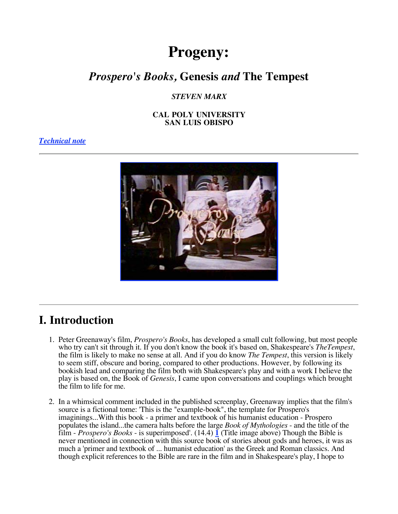# **Progeny:**

## *Prospero's Books,* **Genesis** *and* **The Tempest**

*STEVEN MARX* 

**CAL POLY UNIVERSITY SAN LUIS OBISPO** 

### *Technical note*



## **I. Introduction**

- 1. Peter Greenaway's film, *Prospero's Books*, has developed a small cult following, but most people who try can't sit through it. If you don't know the book it's based on, Shakespeare's *TheTempest*, the film is likely to make no sense at all. And if you do know *The Tempest*, this version is likely to seem stiff, obscure and boring, compared to other productions. However, by following its bookish lead and comparing the film both with Shakespeare's play and with a work I believe the play is based on, the Book of *Genesis*, I came upon conversations and couplings which brought the film to life for me.
- 2. In a whimsical comment included in the published screenplay, Greenaway implies that the film's source is a fictional tome: 'This is the "example-book", the template for Prospero's imaginings...With this book - a primer and textbook of his humanist education - Prospero populates the island...the camera halts before the large *Book of Mythologies* - and the title of the film - *Prospero's Books* - is superimposed'. (14.4) **1** (Title image above) Though the Bible is never mentioned in connection with this source book of stories about gods and heroes, it was as much a 'primer and textbook of ... humanist education' as the Greek and Roman classics. And though explicit references to the Bible are rare in the film and in Shakespeare's play, I hope to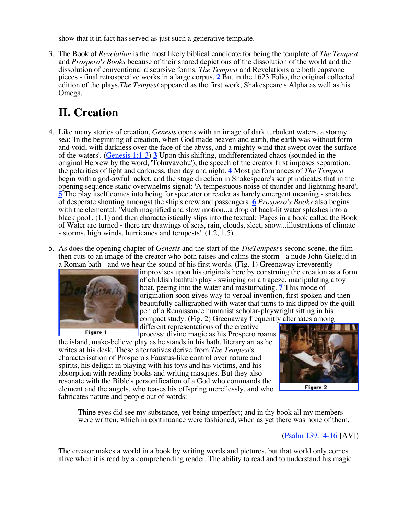show that it in fact has served as just such a generative template.

3. The Book of *Revelation* is the most likely biblical candidate for being the template of *The Tempest* and *Prospero's Books* because of their shared depictions of the dissolution of the world and the dissolution of conventional discursive forms. *The Tempest* and Revelations are both capstone pieces - final retrospective works in a large corpus. **2** But in the 1623 Folio, the original collected edition of the plays,*The Tempest* appeared as the first work, Shakespeare's Alpha as well as his Omega.

# **II. Creation**

- 4. Like many stories of creation, *Genesis* opens with an image of dark turbulent waters, a stormy sea: 'In the beginning of creation, when God made heaven and earth, the earth was without form and void, with darkness over the face of the abyss, and a mighty wind that swept over the surface of the waters'. (Genesis 1:1-3) **3** Upon this shifting, undifferentiated chaos (sounded in the original Hebrew by the word, 'Tohuvavohu'), the speech of the creator first imposes separation: the polarities of light and darkness, then day and night. **4** Most performances of *The Tempest* begin with a god-awful racket, and the stage direction in Shakespeare's script indicates that in the opening sequence static overwhelms signal: 'A tempestuous noise of thunder and lightning heard'. **5** The play itself comes into being for spectator or reader as barely emergent meaning - snatches of desperate shouting amongst the ship's crew and passengers. **6** *Prospero's Books* also begins with the elemental: 'Much magnified and slow motion...a drop of back-lit water splashes into a black pool', (1.1) and then characteristically slips into the textual: 'Pages in a book called the Book of Water are turned - there are drawings of seas, rain, clouds, sleet, snow...illustrations of climate - storms, high winds, hurricanes and tempests'. (1.2, 1.5)
- 5. As does the opening chapter of *Genesis* and the start of the *TheTempest*'s second scene, the film then cuts to an image of the creator who both raises and calms the storm - a nude John Gielgud in a Roman bath - and we hear the sound of his first words. (Fig. 1) Greenaway irreverently



improvises upon his originals here by construing the creation as a form of childish bathtub play - swinging on a trapeze, manipulating a toy boat, peeing into the water and masturbating. **7** This mode of origination soon gives way to verbal invention, first spoken and then beautifully calligraphed with water that turns to ink dipped by the quill pen of a Renaissance humanist scholar-playwright sitting in his compact study. (Fig. 2) Greenaway frequently alternates among

different representations of the creative process: divine magic as his Prospero roams

the island, make-believe play as he stands in his bath, literary art as he writes at his desk. These alternatives derive from *The Tempest*'s characterisation of Prospero's Faustus-like control over nature and spirits, his delight in playing with his toys and his victims, and his absorption with reading books and writing masques. But they also resonate with the Bible's personification of a God who commands the element and the angels, who teases his offspring mercilessly, and who fabricates nature and people out of words:



Figure 2

Thine eyes did see my substance, yet being unperfect; and in thy book all my members were written, which in continuance were fashioned, when as yet there was none of them.

### (Psalm 139:14-16 [AV])

The creator makes a world in a book by writing words and pictures, but that world only comes alive when it is read by a comprehending reader. The ability to read and to understand his magic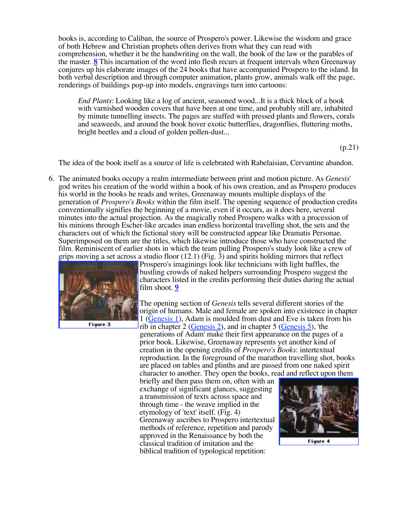books is, according to Caliban, the source of Prospero's power. Likewise the wisdom and grace of both Hebrew and Christian prophets often derives from what they can read with comprehension, whether it be the handwriting on the wall, the book of the law or the parables of the master. **8** This incarnation of the word into flesh recurs at frequent intervals when Greenaway conjures up his elaborate images of the 24 books that have accompanied Prospero to the island. In both verbal description and through computer animation, plants grow, animals walk off the page, renderings of buildings pop-up into models, engravings turn into cartoons:

*End Plants*: Looking like a log of ancient, seasoned wood...It is a thick block of a book with varnished wooden covers that have been at one time, and probably still are, inhabited by minute tunnelling insects. The pages are stuffed with pressed plants and flowers, corals and seaweeds, and around the book hover exotic butterflies, dragonflies, fluttering moths, bright beetles and a cloud of golden pollen-dust...

(p.21)

The idea of the book itself as a source of life is celebrated with Rabelaisian, Cervantine abandon.

6. The animated books occupy a realm intermediate between print and motion picture. As *Genesis*' god writes his creation of the world within a book of his own creation, and as Prospero produces his world in the books he reads and writes, Greenaway mounts multiple displays of the generation of *Prospero's Books* within the film itself. The opening sequence of production credits conventionally signifies the beginning of a movie, even if it occurs, as it does here, several minutes into the actual projection. As the magically robed Prospero walks with a procession of his minions through Escher-like arcades inan endless horizontal travelling shot, the sets and the characters out of which the fictional story will be constructed appear like Dramatis Personae. Superimposed on them are the titles, which likewise introduce those who have constructed the film. Reminiscent of earlier shots in which the team pulling Prospero's study look like a crew of grips moving a set across a studio floor  $(12.1)$  (Fig. 3) and spirits holding mirrors that reflect



Figure 3

Prospero's imaginings look like technicians with light baffles, the bustling crowds of naked helpers surrounding Prospero suggest the characters listed in the credits performing their duties during the actual film shoot. **9** 

The opening section of *Genesis* tells several different stories of the origin of humans. Male and female are spoken into existence in chapter 1 (Genesis 1), Adam is moulded from dust and Eve is taken from his rib in chapter 2 (Genesis 2), and in chapter 5 (Genesis 5), 'the generations of Adam' make their first appearance on the pages of a prior book. Likewise, Greenaway represents yet another kind of creation in the opening credits of *Prospero's Books*: intertextual reproduction. In the foreground of the marathon travelling shot, books are placed on tables and plinths and are passed from one naked spirit character to another. They open the books, read and reflect upon them

briefly and then pass them on, often with an exchange of significant glances, suggesting a transmission of texts across space and through time - the weave implied in the etymology of 'text' itself. (Fig. 4) Greenaway ascribes to Prospero intertextual methods of reference, repetition and parody approved in the Renaissance by both the classical tradition of imitation and the biblical tradition of typological repetition:



Figure 4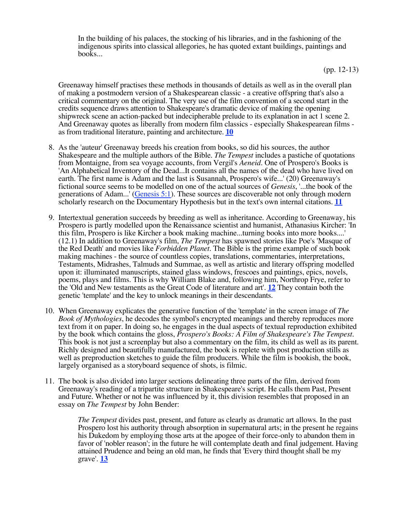In the building of his palaces, the stocking of his libraries, and in the fashioning of the indigenous spirits into classical allegories, he has quoted extant buildings, paintings and books...

(pp. 12-13)

Greenaway himself practises these methods in thousands of details as well as in the overall plan of making a postmodern version of a Shakespearean classic - a creative offspring that's also a critical commentary on the original. The very use of the film convention of a second start in the credits sequence draws attention to Shakespeare's dramatic device of making the opening shipwreck scene an action-packed but indecipherable prelude to its explanation in act 1 scene 2. And Greenaway quotes as liberally from modern film classics - especially Shakespearean films as from traditional literature, painting and architecture. **10** 

- 8. As the 'auteur' Greenaway breeds his creation from books, so did his sources, the author Shakespeare and the multiple authors of the Bible. *The Tempest* includes a pastiche of quotations from Montaigne, from sea voyage accounts, from Vergil's *Aeneid*. One of Prospero's Books is 'An Alphabetical Inventory of the Dead...It contains all the names of the dead who have lived on earth. The first name is Adam and the last is Susannah, Prospero's wife...' (20) Greenaway's fictional source seems to be modelled on one of the actual sources of *Genesis*, '...the book of the generations of Adam...' (Genesis 5:1). These sources are discoverable not only through modern scholarly research on the Documentary Hypothesis but in the text's own internal citations. **11**
- 9. Intertextual generation succeeds by breeding as well as inheritance. According to Greenaway, his Prospero is partly modelled upon the Renaissance scientist and humanist, Athanasius Kircher: 'In this film, Prospero is like Kircher a book making machine...turning books into more books....' (12.1) In addition to Greenaway's film, *The Tempest* has spawned stories like Poe's 'Masque of the Red Death' and movies like *Forbidden Planet*. The Bible is the prime example of such book making machines - the source of countless copies, translations, commentaries, interpretations, Testaments, Midrashes, Talmuds and Summae, as well as artistic and literary offspring modelled upon it: illuminated manuscripts, stained glass windows, frescoes and paintings, epics, novels, poems, plays and films. This is why William Blake and, following him, Northrop Frye, refer to the 'Old and New testaments as the Great Code of literature and art'. **12** They contain both the genetic 'template' and the key to unlock meanings in their descendants.
- 10. When Greenaway explicates the generative function of the 'template' in the screen image of *The Book of Mythologies*, he decodes the symbol's encrypted meanings and thereby reproduces more text from it on paper. In doing so, he engages in the dual aspects of textual reproduction exhibited by the book which contains the gloss, *Prospero's Books: A Film of Shakespeare's The Tempest*. This book is not just a screenplay but also a commentary on the film, its child as well as its parent. Richly designed and beautifully manufactured, the book is replete with post production stills as well as preproduction sketches to guide the film producers. While the film is bookish, the book, largely organised as a storyboard sequence of shots, is filmic.
- 11. The book is also divided into larger sections delineating three parts of the film, derived from Greenaway's reading of a tripartite structure in Shakespeare's script. He calls them Past, Present and Future. Whether or not he was influenced by it, this division resembles that proposed in an essay on *The Tempest* by John Bender:

*The Tempest* divides past, present, and future as clearly as dramatic art allows. In the past Prospero lost his authority through absorption in supernatural arts; in the present he regains his Dukedom by employing those arts at the apogee of their force-only to abandon them in favor of 'nobler reason'; in the future he will contemplate death and final judgement. Having attained Prudence and being an old man, he finds that 'Every third thought shall be my grave'. **13**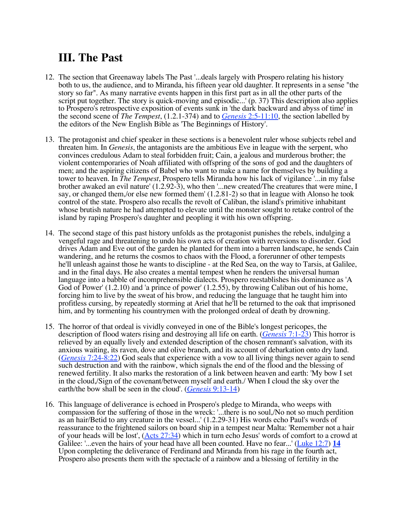## **III. The Past**

- 12. The section that Greenaway labels The Past '...deals largely with Prospero relating his history both to us, the audience, and to Miranda, his fifteen year old daughter. It represents in a sense "the story so far". As many narrative events happen in this first part as in all the other parts of the script put together. The story is quick-moving and episodic...' (p. 37) This description also applies to Prospero's retrospective exposition of events sunk in 'the dark backward and abyss of time' in the second scene of *The Tempest*, (1.2.1-374) and to *Genesis* 2:5-11:10, the section labelled by the editors of the New English Bible as 'The Beginnings of History'.
- 13. The protagonist and chief speaker in these sections is a benevolent ruler whose subjects rebel and threaten him. In *Genesis*, the antagonists are the ambitious Eve in league with the serpent, who convinces credulous Adam to steal forbidden fruit; Cain, a jealous and murderous brother; the violent contemporaries of Noah affiliated with offspring of the sons of god and the daughters of men; and the aspiring citizens of Babel who want to make a name for themselves by building a tower to heaven. In *The Tempest*, Prospero tells Miranda how his lack of vigilance '...in my false brother awaked an evil nature' (1.2.92-3), who then '...new created/The creatures that were mine, I say, or changed them,/or else new formed them' (1.2.81-2) so that in league with Alonso he took control of the state. Prospero also recalls the revolt of Caliban, the island's primitive inhabitant whose brutish nature he had attempted to elevate until the monster sought to retake control of the island by raping Prospero's daughter and peopling it with his own offspring.
- 14. The second stage of this past history unfolds as the protagonist punishes the rebels, indulging a vengeful rage and threatening to undo his own acts of creation with reversions to disorder. God drives Adam and Eve out of the garden he planted for them into a barren landscape, he sends Cain wandering, and he returns the cosmos to chaos with the Flood, a forerunner of other tempests he'll unleash against those he wants to discipline - at the Red Sea, on the way to Tarsis, at Galilee, and in the final days. He also creates a mental tempest when he renders the universal human language into a babble of incomprehensible dialects. Prospero reestablishes his dominance as 'A God of Power' (1.2.10) and 'a prince of power' (1.2.55), by throwing Caliban out of his home, forcing him to live by the sweat of his brow, and reducing the language that he taught him into profitless cursing, by repeatedly storming at Ariel that he'll be returned to the oak that imprisoned him, and by tormenting his countrymen with the prolonged ordeal of death by drowning.
- 15. The horror of that ordeal is vividly conveyed in one of the Bible's longest pericopes, the description of flood waters rising and destroying all life on earth. (*Genesis* 7:1-23) This horror is relieved by an equally lively and extended description of the chosen remnant's salvation, with its anxious waiting, its raven, dove and olive branch, and its account of debarkation onto dry land. (*Genesis* 7:24-8:22) God seals that experience with a vow to all living things never again to send such destruction and with the rainbow, which signals the end of the flood and the blessing of renewed fertility. It also marks the restoration of a link between heaven and earth: 'My bow I set in the cloud,/Sign of the covenant/between myself and earth./ When I cloud the sky over the earth/the bow shall be seen in the cloud'. (*Genesis* 9:13-14)
- 16. This language of deliverance is echoed in Prospero's pledge to Miranda, who weeps with compassion for the suffering of those in the wreck: '...there is no soul,/No not so much perdition as an hair/Betid to any creature in the vessel...' (1.2.29-31) His words echo Paul's words of reassurance to the frightened sailors on board ship in a tempest near Malta: 'Remember not a hair of your heads will be lost',  $(Acts 27:34)$  which in turn echo Jesus' words of comfort to a crowd at Galilee: '...even the hairs of your head have all been counted. Have no fear...' (Luke 12:7) **14**  Upon completing the deliverance of Ferdinand and Miranda from his rage in the fourth act, Prospero also presents them with the spectacle of a rainbow and a blessing of fertility in the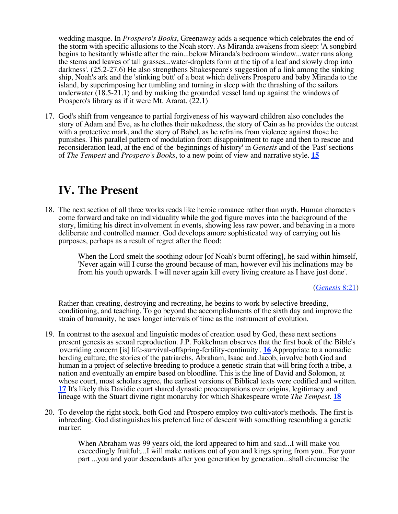wedding masque. In *Prospero's Books*, Greenaway adds a sequence which celebrates the end of the storm with specific allusions to the Noah story. As Miranda awakens from sleep: 'A songbird begins to hesitantly whistle after the rain...below Miranda's bedroom window...water runs along the stems and leaves of tall grasses...water-droplets form at the tip of a leaf and slowly drop into darkness'. (25.2-27.6) He also strengthens Shakespeare's suggestion of a link among the sinking ship, Noah's ark and the 'stinking butt' of a boat which delivers Prospero and baby Miranda to the island, by superimposing her tumbling and turning in sleep with the thrashing of the sailors underwater (18.5-21.1) and by making the grounded vessel land up against the windows of Prospero's library as if it were Mt. Ararat. (22.1)

17. God's shift from vengeance to partial forgiveness of his wayward children also concludes the story of Adam and Eve, as he clothes their nakedness, the story of Cain as he provides the outcast with a protective mark, and the story of Babel, as he refrains from violence against those he punishes. This parallel pattern of modulation from disappointment to rage and then to rescue and reconsideration lead, at the end of the 'beginnings of history' in *Genesis* and of the 'Past' sections of *The Tempest* and *Prospero's Books*, to a new point of view and narrative style. **15** 

## **IV. The Present**

18. The next section of all three works reads like heroic romance rather than myth. Human characters come forward and take on individuality while the god figure moves into the background of the story, limiting his direct involvement in events, showing less raw power, and behaving in a more deliberate and controlled manner. God develops amore sophisticated way of carrying out his purposes, perhaps as a result of regret after the flood:

> When the Lord smelt the soothing odour [of Noah's burnt offering], he said within himself, 'Never again will I curse the ground because of man, however evil his inclinations may be from his youth upwards. I will never again kill every living creature as I have just done'.

> > (*Genesis* 8:21)

Rather than creating, destroying and recreating, he begins to work by selective breeding, conditioning, and teaching. To go beyond the accomplishments of the sixth day and improve the strain of humanity, he uses longer intervals of time as the instrument of evolution.

- 19. In contrast to the asexual and linguistic modes of creation used by God, these next sections present genesis as sexual reproduction. J.P. Fokkelman observes that the first book of the Bible's 'overriding concern [is] life-survival-offspring-fertility-continuity'. **16** Appropriate to a nomadic herding culture, the stories of the patriarchs, Abraham, Isaac and Jacob, involve both God and human in a project of selective breeding to produce a genetic strain that will bring forth a tribe, a nation and eventually an empire based on bloodline. This is the line of David and Solomon, at whose court, most scholars agree, the earliest versions of Biblical texts were codified and written. **17** It's likely this Davidic court shared dynastic preoccupations over origins, legitimacy and lineage with the Stuart divine right monarchy for which Shakespeare wrote *The Tempest*. **18**
- 20. To develop the right stock, both God and Prospero employ two cultivator's methods. The first is inbreeding. God distinguishes his preferred line of descent with something resembling a genetic marker:

When Abraham was 99 years old, the lord appeared to him and said...I will make you exceedingly fruitful;...I will make nations out of you and kings spring from you...For your part ...you and your descendants after you generation by generation...shall circumcise the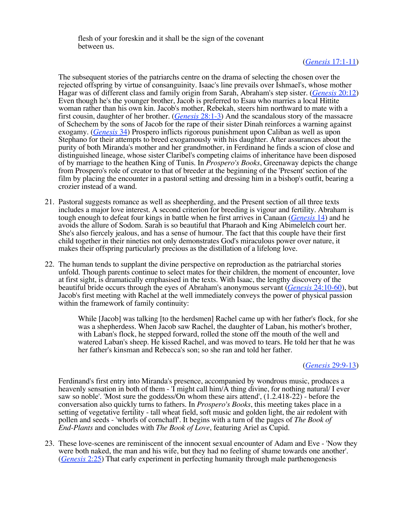flesh of your foreskin and it shall be the sign of the covenant between us.

#### (*Genesis* 17:1-11)

The subsequent stories of the patriarchs centre on the drama of selecting the chosen over the rejected offspring by virtue of consanguinity. Isaac's line prevails over Ishmael's, whose mother Hagar was of different class and family origin from Sarah, Abraham's step sister. (*Genesis* 20:12) Even though he's the younger brother, Jacob is preferred to Esau who marries a local Hittite woman rather than his own kin. Jacob's mother, Rebekah, steers him northward to mate with a first cousin, daughter of her brother. (*Genesis* 28:1-3) And the scandalous story of the massacre of Schechem by the sons of Jacob for the rape of their sister Dinah reinforces a warning against exogamy. (*Genesis* 34) Prospero inflicts rigorous punishment upon Caliban as well as upon Stephano for their attempts to breed exogamously with his daughter. After assurances about the purity of both Miranda's mother and her grandmother, in Ferdinand he finds a scion of close and distinguished lineage, whose sister Claribel's competing claims of inheritance have been disposed of by marriage to the heathen King of Tunis. In *Prospero's Books*, Greenaway depicts the change from Prospero's role of creator to that of breeder at the beginning of the 'Present' section of the film by placing the encounter in a pastoral setting and dressing him in a bishop's outfit, bearing a crozier instead of a wand.

- 21. Pastoral suggests romance as well as sheepherding, and the Present section of all three texts includes a major love interest. A second criterion for breeding is vigour and fertility. Abraham is tough enough to defeat four kings in battle when he first arrives in Canaan (*Genesis* 14) and he avoids the allure of Sodom. Sarah is so beautiful that Pharaoh and King Abimelelch court her. She's also fiercely jealous, and has a sense of humour. The fact that this couple have their first child together in their nineties not only demonstrates God's miraculous power over nature, it makes their offspring particularly precious as the distillation of a lifelong love.
- 22. The human tends to supplant the divine perspective on reproduction as the patriarchal stories unfold. Though parents continue to select mates for their children, the moment of encounter, love at first sight, is dramatically emphasised in the texts. With Isaac, the lengthy discovery of the beautiful bride occurs through the eyes of Abraham's anonymous servant (*Genesis* 24:10-60), but Jacob's first meeting with Rachel at the well immediately conveys the power of physical passion within the framework of family continuity:

While [Jacob] was talking [to the herdsmen] Rachel came up with her father's flock, for she was a shepherdess. When Jacob saw Rachel, the daughter of Laban, his mother's brother, with Laban's flock, he stepped forward, rolled the stone off the mouth of the well and watered Laban's sheep. He kissed Rachel, and was moved to tears. He told her that he was her father's kinsman and Rebecca's son; so she ran and told her father.

#### (*Genesis* 29:9-13)

Ferdinand's first entry into Miranda's presence, accompanied by wondrous music, produces a heavenly sensation in both of them - 'I might call him/A thing divine, for nothing natural/ I ever saw so noble'. 'Most sure the goddess/On whom these airs attend', (1.2.418-22) - before the conversation also quickly turns to fathers. In *Prospero's Books*, this meeting takes place in a setting of vegetative fertility - tall wheat field, soft music and golden light, the air redolent with pollen and seeds - 'whorls of cornchaff'. It begins with a turn of the pages of *The Book of End-Plants* and concludes with *The Book of Love*, featuring Ariel as Cupid.

23. These love-scenes are reminiscent of the innocent sexual encounter of Adam and Eve - 'Now they were both naked, the man and his wife, but they had no feeling of shame towards one another'. (*Genesis* 2:25) That early experiment in perfecting humanity through male parthenogenesis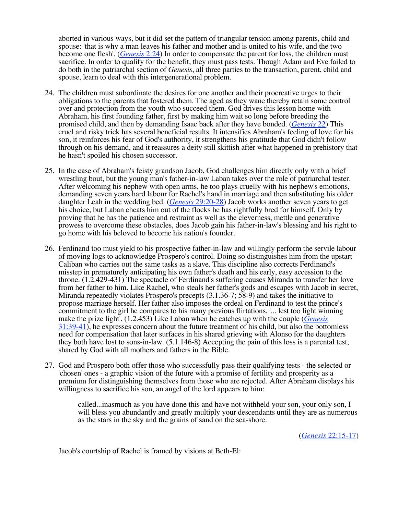aborted in various ways, but it did set the pattern of triangular tension among parents, child and spouse: 'that is why a man leaves his father and mother and is united to his wife, and the two become one flesh'. (*Genesis* 2:24) In order to compensate the parent for loss, the children must sacrifice. In order to qualify for the benefit, they must pass tests. Though Adam and Eve failed to do both in the patriarchal section of *Genesis*, all three parties to the transaction, parent, child and spouse, learn to deal with this intergenerational problem.

- 24. The children must subordinate the desires for one another and their procreative urges to their obligations to the parents that fostered them. The aged as they wane thereby retain some control over and protection from the youth who succeed them. God drives this lesson home with Abraham, his first founding father, first by making him wait so long before breeding the promised child, and then by demanding Isaac back after they have bonded. (*Genesis* 22) This cruel and risky trick has several beneficial results. It intensifies Abraham's feeling of love for his son, it reinforces his fear of God's authority, it strengthens his gratitude that God didn't follow through on his demand, and it reassures a deity still skittish after what happened in prehistory that he hasn't spoiled his chosen successor.
- 25. In the case of Abraham's feisty grandson Jacob, God challenges him directly only with a brief wrestling bout, but the young man's father-in-law Laban takes over the role of patriarchal tester. After welcoming his nephew with open arms, he too plays cruelly with his nephew's emotions, demanding seven years hard labour for Rachel's hand in marriage and then substituting his older daughter Leah in the wedding bed. (*Genesis* 29:20-28) Jacob works another seven years to get his choice, but Laban cheats him out of the flocks he has rightfully bred for himself. Only by proving that he has the patience and restraint as well as the cleverness, mettle and generative prowess to overcome these obstacles, does Jacob gain his father-in-law's blessing and his right to go home with his beloved to become his nation's founder.
- 26. Ferdinand too must yield to his prospective father-in-law and willingly perform the servile labour of moving logs to acknowledge Prospero's control. Doing so distinguishes him from the upstart Caliban who carries out the same tasks as a slave. This discipline also corrects Ferdinand's misstep in prematurely anticipating his own father's death and his early, easy accession to the throne. (1.2.429-431) The spectacle of Ferdinand's suffering causes Miranda to transfer her love from her father to him. Like Rachel, who steals her father's gods and escapes with Jacob in secret, Miranda repeatedly violates Prospero's precepts (3.1.36-7; 58-9) and takes the initiative to propose marriage herself. Her father also imposes the ordeal on Ferdinand to test the prince's commitment to the girl he compares to his many previous flirtations, '... lest too light winning make the prize light'. (1.2.453) Like Laban when he catches up with the couple (*Genesis*  31:39-41), he expresses concern about the future treatment of his child, but also the bottomless need for compensation that later surfaces in his shared grieving with Alonso for the daughters they both have lost to sons-in-law. (5.1.146-8) Accepting the pain of this loss is a parental test, shared by God with all mothers and fathers in the Bible.
- 27. God and Prospero both offer those who successfully pass their qualifying tests the selected or 'chosen' ones - a graphic vision of the future with a promise of fertility and prosperity as a premium for distinguishing themselves from those who are rejected. After Abraham displays his willingness to sacrifice his son, an angel of the lord appears to him:

called...inasmuch as you have done this and have not withheld your son, your only son, I will bless you abundantly and greatly multiply your descendants until they are as numerous as the stars in the sky and the grains of sand on the sea-shore.

(*Genesis* 22:15-17)

Jacob's courtship of Rachel is framed by visions at Beth-El: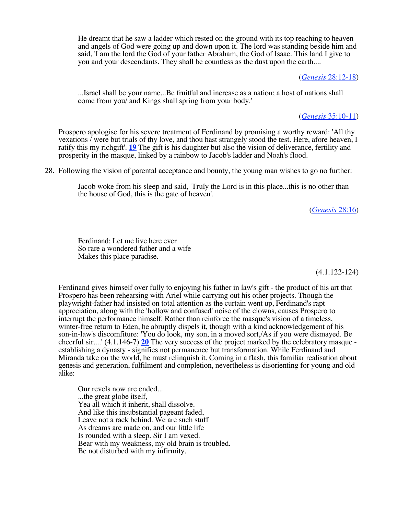He dreamt that he saw a ladder which rested on the ground with its top reaching to heaven and angels of God were going up and down upon it. The lord was standing beside him and said, 'I am the lord the God of your father Abraham, the God of Isaac. This land I give to you and your descendants. They shall be countless as the dust upon the earth....

#### (*Genesis* 28:12-18)

...Israel shall be your name...Be fruitful and increase as a nation; a host of nations shall come from you/ and Kings shall spring from your body.'

(*Genesis* 35:10-11)

Prospero apologise for his severe treatment of Ferdinand by promising a worthy reward: 'All thy vexations / were but trials of thy love, and thou hast strangely stood the test. Here, afore heaven, I ratify this my richgift'. **19** The gift is his daughter but also the vision of deliverance, fertility and prosperity in the masque, linked by a rainbow to Jacob's ladder and Noah's flood.

28. Following the vision of parental acceptance and bounty, the young man wishes to go no further:

Jacob woke from his sleep and said, 'Truly the Lord is in this place...this is no other than the house of God, this is the gate of heaven'.

(*Genesis* 28:16)

Ferdinand: Let me live here ever So rare a wondered father and a wife Makes this place paradise.

(4.1.122-124)

Ferdinand gives himself over fully to enjoying his father in law's gift - the product of his art that Prospero has been rehearsing with Ariel while carrying out his other projects. Though the playwright-father had insisted on total attention as the curtain went up, Ferdinand's rapt appreciation, along with the 'hollow and confused' noise of the clowns, causes Prospero to interrupt the performance himself. Rather than reinforce the masque's vision of a timeless, winter-free return to Eden, he abruptly dispels it, though with a kind acknowledgement of his son-in-law's discomfiture: 'You do look, my son, in a moved sort,/As if you were dismayed. Be cheerful sir....' (4.1.146-7) **20** The very success of the project marked by the celebratory masque establishing a dynasty - signifies not permanence but transformation. While Ferdinand and Miranda take on the world, he must relinquish it. Coming in a flash, this familiar realisation about genesis and generation, fulfilment and completion, nevertheless is disorienting for young and old alike:

Our revels now are ended... ...the great globe itself, Yea all which it inherit, shall dissolve. And like this insubstantial pageant faded, Leave not a rack behind. We are such stuff As dreams are made on, and our little life Is rounded with a sleep. Sir I am vexed. Bear with my weakness, my old brain is troubled. Be not disturbed with my infirmity.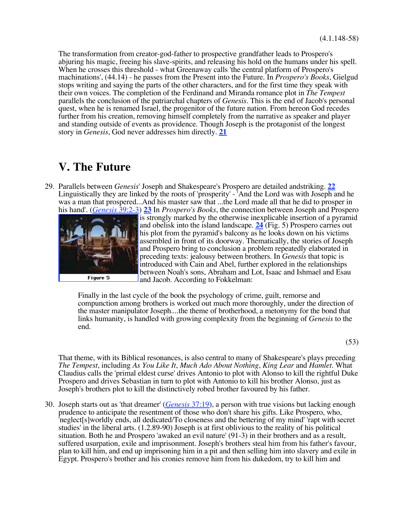The transformation from creator-god-father to prospective grandfather leads to Prospero's abjuring his magic, freeing his slave-spirits, and releasing his hold on the humans under his spell. When he crosses this threshold - what Greenaway calls 'the central platform of Prospero's machinations', (44.14) - he passes from the Present into the Future. In *Prospero's Books*, Gielgud stops writing and saying the parts of the other characters, and for the first time they speak with their own voices. The completion of the Ferdinand and Miranda romance plot in *The Tempest* parallels the conclusion of the patriarchal chapters of *Genesis*. This is the end of Jacob's personal quest, when he is renamed Israel, the progenitor of the future nation. From hereon God recedes further from his creation, removing himself completely from the narrative as speaker and player and standing outside of events as providence. Though Joseph is the protagonist of the longest story in *Genesis*, God never addresses him directly. **21** 

### **V. The Future**

29. Parallels between *Genesis*' Joseph and Shakespeare's Prospero are detailed andstriking. **22**  Linguistically they are linked by the roots of 'prosperity' - 'And the Lord was with Joseph and he was a man that prospered...And his master saw that ...the Lord made all that he did to prosper in his hand'. (*Genesis* 39:2-3) **23** In *Prospero's Books*, the connection between Joseph and Prospero



is strongly marked by the otherwise inexplicable insertion of a pyramid and obelisk into the island landscape. **24** (Fig. 5) Prospero carries out his plot from the pyramid's balcony as he looks down on his victims assembled in front of its doorway. Thematically, the stories of Joseph and Prospero bring to conclusion a problem repeatedly elaborated in preceding texts: jealousy between brothers. In *Genesis* that topic is introduced with Cain and Abel, further explored in the relationships between Noah's sons, Abraham and Lot, Isaac and Ishmael and Esau and Jacob. According to Fokkelman:

Finally in the last cycle of the book the psychology of crime, guilt, remorse and compunction among brothers is worked out much more thoroughly, under the direction of the master manipulator Joseph....the theme of brotherhood, a metonymy for the bond that links humanity, is handled with growing complexity from the beginning of *Genesis* to the end.

(53)

That theme, with its Biblical resonances, is also central to many of Shakespeare's plays preceding *The Tempest*, including *As You Like It*, *Much Ado About Nothing*, *King Lear* and *Hamlet*. What Claudius calls the 'primal eldest curse' drives Antonio to plot with Alonso to kill the rightful Duke Prospero and drives Sebastian in turn to plot with Antonio to kill his brother Alonso, just as Joseph's brothers plot to kill the distinctively robed brother favoured by his father.

30. Joseph starts out as 'that dreamer' (*Genesis* 37:19), a person with true visions but lacking enough prudence to anticipate the resentment of those who don't share his gifts. Like Prospero, who, 'neglect[s]worldly ends, all dedicated/To closeness and the bettering of my mind' 'rapt with secret studies' in the liberal arts. (1.2.89-90) Joseph is at first oblivious to the reality of his political situation. Both he and Prospero 'awaked an evil nature' (91-3) in their brothers and as a result, suffered usurpation, exile and imprisonment. Joseph's brothers steal him from his father's favour, plan to kill him, and end up imprisoning him in a pit and then selling him into slavery and exile in Egypt. Prospero's brother and his cronies remove him from his dukedom, try to kill him and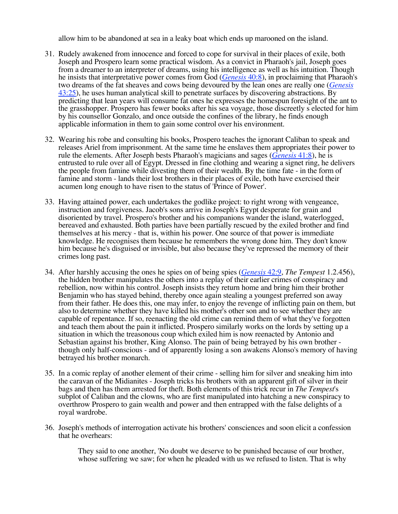allow him to be abandoned at sea in a leaky boat which ends up marooned on the island.

- 31. Rudely awakened from innocence and forced to cope for survival in their places of exile, both Joseph and Prospero learn some practical wisdom. As a convict in Pharaoh's jail, Joseph goes from a dreamer to an interpreter of dreams, using his intelligence as well as his intuition. Though he insists that interpretative power comes from God (*Genesis* 40:8), in proclaiming that Pharaoh's two dreams of the fat sheaves and cows being devoured by the lean ones are really one (*Genesis*   $\frac{43:25}{2}$ , he uses human analytical skill to penetrate surfaces by discovering abstractions. By predicting that lean years will consume fat ones he expresses the homespun foresight of the ant to the grasshopper. Prospero has fewer books after his sea voyage, those discreetly s elected for him by his counsellor Gonzalo, and once outside the confines of the library, he finds enough applicable information in them to gain some control over his environment.
- 32. Wearing his robe and consulting his books, Prospero teaches the ignorant Caliban to speak and releases Ariel from imprisonment. At the same time he enslaves them appropriates their power to rule the elements. After Joseph bests Pharaoh's magicians and sages (*Genesis* 41:8), he is entrusted to rule over all of Egypt. Dressed in fine clothing and wearing a signet ring, he delivers the people from famine while divesting them of their wealth. By the time fate - in the form of famine and storm - lands their lost brothers in their places of exile, both have exercised their acumen long enough to have risen to the status of 'Prince of Power'.
- 33. Having attained power, each undertakes the godlike project: to right wrong with vengeance, instruction and forgiveness. Jacob's sons arrive in Joseph's Egypt desperate for grain and disoriented by travel. Prospero's brother and his companions wander the island, waterlogged, bereaved and exhausted. Both parties have been partially rescued by the exiled brother and find themselves at his mercy - that is, within his power. One source of that power is immediate knowledge. He recognises them because he remembers the wrong done him. They don't know him because he's disguised or invisible, but also because they've repressed the memory of their crimes long past.
- 34. After harshly accusing the ones he spies on of being spies (*Genesis* 42:9, *The Tempest* 1.2.456), the hidden brother manipulates the others into a replay of their earlier crimes of conspiracy and rebellion, now within his control. Joseph insists they return home and bring him their brother Benjamin who has stayed behind, thereby once again stealing a youngest preferred son away from their father. He does this, one may infer, to enjoy the revenge of inflicting pain on them, but also to determine whether they have killed his mother's other son and to see whether they are capable of repentance. If so, reenacting the old crime can remind them of what they've forgotten and teach them about the pain it inflicted. Prospero similarly works on the lords by setting up a situation in which the treasonous coup which exiled him is now reenacted by Antonio and Sebastian against his brother, King Alonso. The pain of being betrayed by his own brother though only half-conscious - and of apparently losing a son awakens Alonso's memory of having betrayed his brother monarch.
- 35. In a comic replay of another element of their crime selling him for silver and sneaking him into the caravan of the Midianites - Joseph tricks his brothers with an apparent gift of silver in their bags and then has them arrested for theft. Both elements of this trick recur in *The Tempest*'s subplot of Caliban and the clowns, who are first manipulated into hatching a new conspiracy to overthrow Prospero to gain wealth and power and then entrapped with the false delights of a royal wardrobe.
- 36. Joseph's methods of interrogation activate his brothers' consciences and soon elicit a confession that he overhears:

They said to one another, 'No doubt we deserve to be punished because of our brother, whose suffering we saw; for when he pleaded with us we refused to listen. That is why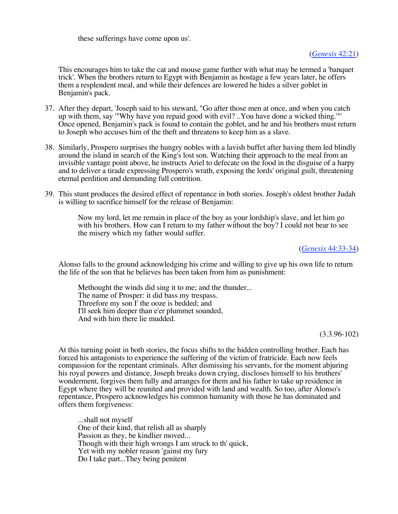these sufferings have come upon us'.

(*Genesis* 42:21)

This encourages him to take the cat and mouse game further with what may be termed a 'banquet trick'. When the brothers return to Egypt with Benjamin as hostage a few years later, he offers them a resplendent meal, and while their defences are lowered he hides a silver goblet in Benjamin's pack.

- 37. After they depart, 'Joseph said to his steward, "Go after those men at once, and when you catch up with them, say '"Why have you repaid good with evil? ..You have done a wicked thing.'"' Once opened, Benjamin's pack is found to contain the goblet, and he and his brothers must return to Joseph who accuses him of the theft and threatens to keep him as a slave.
- 38. Similarly, Prospero surprises the hungry nobles with a lavish buffet after having them led blindly around the island in search of the King's lost son. Watching their approach to the meal from an invisible vantage point above, he instructs Ariel to defecate on the food in the disguise of a harpy and to deliver a tirade expressing Prospero's wrath, exposing the lords' original guilt, threatening eternal perdition and demanding full contrition.
- 39. This stunt produces the desired effect of repentance in both stories. Joseph's oldest brother Judah is willing to sacrifice himself for the release of Benjamin:

Now my lord, let me remain in place of the boy as your lordship's slave, and let him go with his brothers. How can I return to my father without the boy? I could not bear to see the misery which my father would suffer.

(*Genesis* 44:33-34)

Alonso falls to the ground acknowledging his crime and willing to give up his own life to return the life of the son that he believes has been taken from him as punishment:

Methought the winds did sing it to me; and the thunder... The name of Prosper: it did bass my trespass. Threefore my son I' the ooze is bedded; and I'll seek him deeper than e'er plummet sounded, And with him there lie mudded.

(3.3.96-102)

At this turning point in both stories, the focus shifts to the hidden controlling brother. Each has forced his antagonists to experience the suffering of the victim of fratricide. Each now feels compassion for the repentant criminals. After dismissing his servants, for the moment abjuring his royal powers and distance, Joseph breaks down crying, discloses himself to his brothers' wonderment, forgives them fully and arranges for them and his father to take up residence in Egypt where they will be reunited and provided with land and wealth. So too, after Alonso's repentance, Prospero acknowledges his common humanity with those he has dominated and offers them forgiveness:

...shall not myself One of their kind, that relish all as sharply Passion as they, be kindlier moved... Though with their high wrongs I am struck to th' quick, Yet with my nobler reason 'gainst my fury Do I take part...They being penitent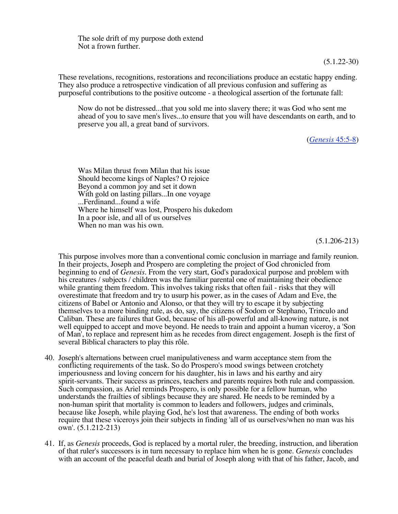The sole drift of my purpose doth extend Not a frown further.

(5.1.22-30)

These revelations, recognitions, restorations and reconciliations produce an ecstatic happy ending. They also produce a retrospective vindication of all previous confusion and suffering as purposeful contributions to the positive outcome - a theological assertion of the fortunate fall:

Now do not be distressed...that you sold me into slavery there; it was God who sent me ahead of you to save men's lives...to ensure that you will have descendants on earth, and to preserve you all, a great band of survivors.

(*Genesis* 45:5-8)

Was Milan thrust from Milan that his issue Should become kings of Naples? O rejoice Beyond a common joy and set it down With gold on lasting pillars...In one voyage ...Ferdinand...found a wife Where he himself was lost, Prospero his dukedom In a poor isle, and all of us ourselves When no man was his own.

(5.1.206-213)

This purpose involves more than a conventional comic conclusion in marriage and family reunion. In their projects, Joseph and Prospero are completing the project of God chronicled from beginning to end of *Genesis*. From the very start, God's paradoxical purpose and problem with his creatures / subjects / children was the familiar parental one of maintaining their obedience while granting them freedom. This involves taking risks that often fail - risks that they will overestimate that freedom and try to usurp his power, as in the cases of Adam and Eve, the citizens of Babel or Antonio and Alonso, or that they will try to escape it by subjecting themselves to a more binding rule, as do, say, the citizens of Sodom or Stephano, Trinculo and Caliban. These are failures that God, because of his all-powerful and all-knowing nature, is not well equipped to accept and move beyond. He needs to train and appoint a human viceroy, a 'Son of Man', to replace and represent him as he recedes from direct engagement. Joseph is the first of several Biblical characters to play this rôle.

- 40. Joseph's alternations between cruel manipulativeness and warm acceptance stem from the conflicting requirements of the task. So do Prospero's mood swings between crotchety imperiousness and loving concern for his daughter, his in laws and his earthy and airy spirit-servants. Their success as princes, teachers and parents requires both rule and compassion. Such compassion, as Ariel reminds Prospero, is only possible for a fellow human, who understands the frailties of siblings because they are shared. He needs to be reminded by a non-human spirit that mortality is common to leaders and followers, judges and criminals, because like Joseph, while playing God, he's lost that awareness. The ending of both works require that these viceroys join their subjects in finding 'all of us ourselves/when no man was his own'. (5.1.212-213)
- 41. If, as *Genesis* proceeds, God is replaced by a mortal ruler, the breeding, instruction, and liberation of that ruler's successors is in turn necessary to replace him when he is gone. *Genesis* concludes with an account of the peaceful death and burial of Joseph along with that of his father, Jacob, and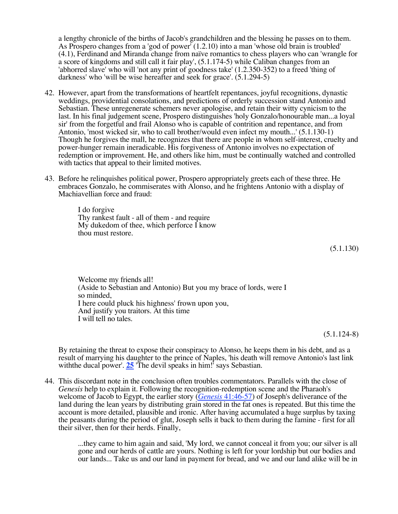a lengthy chronicle of the births of Jacob's grandchildren and the blessing he passes on to them. As Prospero changes from a 'god of power' (1.2.10) into a man 'whose old brain is troubled' (4.1), Ferdinand and Miranda change from naïve romantics to chess players who can 'wrangle for a score of kingdoms and still call it fair play', (5.1.174-5) while Caliban changes from an 'abhorred slave' who will 'not any print of goodness take' (1.2.350-352) to a freed 'thing of darkness' who 'will be wise hereafter and seek for grace'. (5.1.294-5)

- 42. However, apart from the transformations of heartfelt repentances, joyful recognitions, dynastic weddings, providential consolations, and predictions of orderly succession stand Antonio and Sebastian. These unregenerate schemers never apologise, and retain their witty cynicism to the last. In his final judgement scene, Prospero distinguishes 'holy Gonzalo/honourable man...a loyal sir' from the forgetful and frail Alonso who is capable of contrition and repentance, and from Antonio, 'most wicked sir, who to call brother/would even infect my mouth...' (5.1.130-1) Though he forgives the mall, he recognizes that there are people in whom self-interest, cruelty and power-hunger remain ineradicable. His forgiveness of Antonio involves no expectation of redemption or improvement. He, and others like him, must be continually watched and controlled with tactics that appeal to their limited motives.
- 43. Before he relinquishes political power, Prospero appropriately greets each of these three. He embraces Gonzalo, he commiserates with Alonso, and he frightens Antonio with a display of Machiavellian force and fraud:

I do forgive Thy rankest fault - all of them - and require My dukedom of thee, which perforce I know thou must restore.

(5.1.130)

Welcome my friends all! (Aside to Sebastian and Antonio) But you my brace of lords, were I so minded, I here could pluck his highness' frown upon you, And justify you traitors. At this time I will tell no tales.

(5.1.124-8)

By retaining the threat to expose their conspiracy to Alonso, he keeps them in his debt, and as a result of marrying his daughter to the prince of Naples, 'his death will remove Antonio's last link with the ducal power'. 25 The devil speaks in him!' says Sebastian.

44. This discordant note in the conclusion often troubles commentators. Parallels with the close of *Genesis* help to explain it. Following the recognition-redemption scene and the Pharaoh's welcome of Jacob to Egypt, the earlier story (*Genesis* 41:46-57) of Joseph's deliverance of the land during the lean years by distributing grain stored in the fat ones is repeated. But this time the account is more detailed, plausible and ironic. After having accumulated a huge surplus by taxing the peasants during the period of glut, Joseph sells it back to them during the famine - first for all their silver, then for their herds. Finally,

> ...they came to him again and said, 'My lord, we cannot conceal it from you; our silver is all gone and our herds of cattle are yours. Nothing is left for your lordship but our bodies and our lands... Take us and our land in payment for bread, and we and our land alike will be in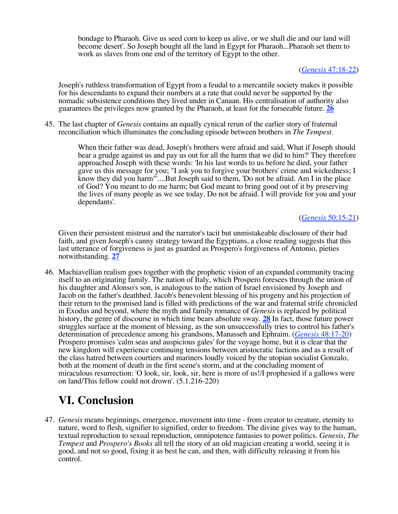bondage to Pharaoh. Give us seed corn to keep us alive, or we shall die and our land will become desert'. So Joseph bought all the land in Egypt for Pharaoh...Pharaoh set them to work as slaves from one end of the territory of Egypt to the other.

### (*Genesis* 47:18-22)

Joseph's ruthless transformation of Egypt from a feudal to a mercantile society makes it possible for his descendants to expand their numbers at a rate that could never be supported by the nomadic subsistence conditions they lived under in Canaan. His centralisation of authority also guarantees the privileges now granted by the Pharaoh, at least for the forseeable future. **26** 

45. The last chapter of *Genesis* contains an equally cynical rerun of the earlier story of fraternal reconciliation which illuminates the concluding episode between brothers in *The Tempest*.

> When their father was dead, Joseph's brothers were afraid and said, What if Joseph should bear a grudge against us and pay us out for all the harm that we did to him?' They therefore approached Joseph with these words: 'In his last words to us before he died, your father gave us this message for you; "I ask you to forgive your brothers' crime and wickedness; I know they did you harm"'....But Joseph said to them, 'Do not be afraid. Am I in the place of God? You meant to do me harm; but God meant to bring good out of it by preserving the lives of many people as we see today. Do not be afraid. I will provide for you and your dependants'.

### (*Genesis* 50:15-21)

Given their persistent mistrust and the narrator's tacit but unmistakeable disclosure of their bad faith, and given Joseph's canny strategy toward the Egyptians, a close reading suggests that this last utterance of forgiveness is just as guarded as Prospero's forgiveness of Antonio, pieties notwithstanding. **27** 

46. Machiavellian realism goes together with the prophetic vision of an expanded community tracing itself to an originating family. The nation of Italy, which Prospero foresees through the union of his daughter and Alonso's son, is analogous to the nation of Israel envisioned by Joseph and Jacob on the father's deathbed. Jacob's benevolent blessing of his progeny and his projection of their return to the promised land is filled with predictions of the war and fraternal strife chronicled in Exodus and beyond, where the myth and family romance of *Genesis* is replaced by political history, the genre of discourse in which time bears absolute sway. **28** In fact, those future power struggles surface at the moment of blessing, as the son unsuccessfully tries to control his father's determination of precedence among his grandsons, Manasseh and Ephraim. (*Genesis* 48:17-20) Prospero promises 'calm seas and auspicious gales' for the voyage home, but it is clear that the new kingdom will experience continuing tensions between aristocratic factions and as a result of the class hatred between courtiers and mariners loudly voiced by the utopian socialist Gonzalo, both at the moment of death in the first scene's storm, and at the concluding moment of miraculous resurrection: 'O look, sir, look, sir, here is more of us!/I prophesied if a gallows were on land/This fellow could not drown'. (5.1.216-220)

## **VI. Conclusion**

47. *Genesis* means beginnings, emergence, movement into time - from creator to creature, eternity to nature, word to flesh, signifier to signified, order to freedom. The divine gives way to the human, textual reproduction to sexual reproduction, omnipotence fantasies to power politics. *Genesis*, *The Tempest* and *Prospero's Books* all tell the story of an old magician creating a world, seeing it is good, and not so good, fixing it as best he can, and then, with difficulty releasing it from his control.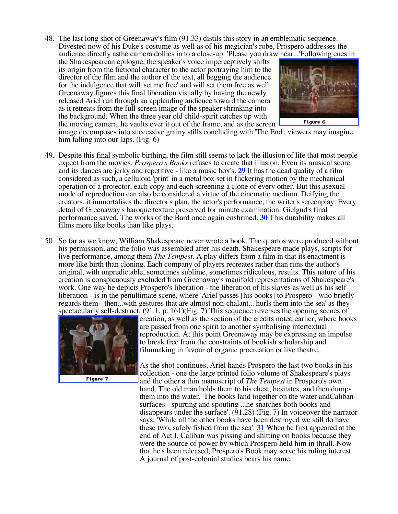48. The last long shot of Greenaway's film (91.33) distils this story in an emblematic sequence. Divested now of his Duke's costume as well as of his magician's robe, Prospero addresses the audience directly asthe camera dollies in to a close-up: 'Please you draw near...'Following cues in

the Shakespearean epilogue, the speaker's voice imperceptively shifts its origin from the fictional character to the actor portraying him to the director of the film and the author of the text, all begging the audience for the indulgence that will 'set me free' and will set them free as well. Greenaway figures this final liberation visually by having the newly released Ariel run through an applauding audience toward the camera as it retreats from the full screen image of the speaker shrinking into the background. When the three year old child-spirit catches up with the moving camera, he vaults over it out of the frame, and as the screen



Figure 6

image decomposes into successive grainy stills concluding with 'The End', viewers may imagine him falling into our laps. (Fig. 6)

- 49. Despite this final symbolic birthing, the film still seems to lack the illusion of life that most people expect from the movies. *Prospero's Books* refuses to create that illusion. Even its musical score and its dances are jerky and repetitive - like a music box's. **29** It has the dead quality of a film considered as such, a celluloid 'print' in a metal box set in flickering motion by the mechanical operation of a projector, each copy and each screening a clone of every other. But this asexual mode of reproduction can also be considered a virtue of the cinematic medium. Deifying the creators, it immortalises the director's plan, the actor's performance, the writer's screenplay. Every detail of Greenaway's baroque texture preserved for minute examination. Gielgud's final performance saved. The works of the Bard once again enshrined. **30** This durability makes all films more like books than like plays.
- 50. So far as we know, William Shakespeare never wrote a book. The quartos were produced without his permission, and the folio was assembled after his death. Shakespeare made plays, scripts for live performance, among them *The Tempest*. A play differs from a film in that its enactment is more like birth than cloning. Each company of players recreates rather than runs the author's original, with unpredictable, sometimes sublime, sometimes ridiculous, results. This nature of his creation is conspicuously excluded from Greenaway's manifold representations of Shakespeare's work. One way he depicts Prospero's liberation - the liberation of his slaves as well as his self liberation - is in the penultimate scene, where 'Ariel passes [his books] to Prospero - who briefly regards them - then...with gestures that are almost non-chalant... hurls them into the sea' as they spectacularly self-destruct. (91.1, p. 161)(Fig. 7) This sequence reverses the opening scenes of



Figure 7

creation, as well as the section of the credits noted earlier, where books are passed from one spirit to another symbolising intertextual reproduction. At this point Greenaway may be expressing an impulse to break free from the constraints of bookish scholarship and filmmaking in favour of organic procreation or live theatre.

As the shot continues, Ariel hands Prospero the last two books in his collection - one the large printed folio volume of Shakespeare's plays and the other a thin manuscript of *The Tempest* in Prospero's own hand. The old man holds them to his chest, hesitates, and then dumps them into the water. 'The books land together on the water andCaliban surfaces - spurting and spouting ...he snatches both books and disappears under the surface'.  $(91.28)$  (Fig. 7) In voice over the narrator says, 'While all the other books have been destroyed we still do have these two, safely fished from the sea'. **31** When he first appeared at the end of Act I, Caliban was pissing and shitting on books because they were the source of power by which Prospero held him in thrall. Now that he's been released, Prospero's Book may serve his ruling interest. A journal of post-colonial studies bears his name.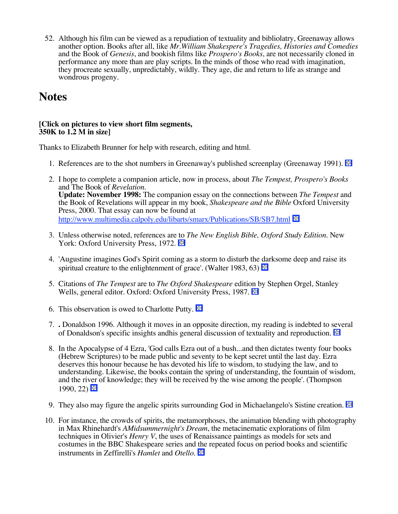52. Although his film can be viewed as a repudiation of textuality and bibliolatry, Greenaway allows another option. Books after all, like *Mr.William Shakespere's Tragedies, Histories and Comedies* and the Book of *Genesis*, and bookish films like *Prospero's Books*, are not necessarily cloned in performance any more than are play scripts. In the minds of those who read with imagination, they procreate sexually, unpredictably, wildly. They age, die and return to life as strange and wondrous progeny.

## **Notes**

### **[Click on pictures to view short film segments, 350K to 1.2 M in size]**

Thanks to Elizabeth Brunner for help with research, editing and html.

- 1. References are to the shot numbers in Greenaway's published screenplay (Greenaway 1991).  $\Box$
- 2. I hope to complete a companion article, now in process, about *The Tempest, Prospero's Books* and The Book of *Revelation*. **Update: November 1998:** The companion essay on the connections between *The Tempest* and the Book of Revelations will appear in my book, *Shakespeare and the Bible* Oxford University Press, 2000. That essay can now be found at http://www.multimedia.calpoly.edu/libarts/smarx/Publications/SB/SB7.html
- 3. Unless otherwise noted, references are to *The New English Bible, Oxford Study Edition.* New York: Oxford University Press, 1972.
- 4. 'Augustine imagines God's Spirit coming as a storm to disturb the darksome deep and raise its spiritual creature to the enlightenment of grace'. (Walter 1983, 63)  $\bigotimes$
- 5. Citations of *The Tempest* are to *The Oxford Shakespeare* edition by Stephen Orgel, Stanley Wells, general editor. Oxford: Oxford University Press, 1987.
- 6. This observation is owed to Charlotte Putty.  $\Box$
- 7. **.** Donaldson 1996. Although it moves in an opposite direction, my reading is indebted to several of Donaldson's specific insights andhis general discussion of textuality and reproduction.  $\bigoplus$
- 8. In the Apocalypse of 4 Ezra, 'God calls Ezra out of a bush...and then dictates twenty four books (Hebrew Scriptures) to be made public and seventy to be kept secret until the last day. Ezra deserves this honour because he has devoted his life to wisdom, to studying the law, and to understanding. Likewise, the books contain the spring of understanding, the fountain of wisdom, and the river of knowledge; they will be received by the wise among the people'. (Thompson 1990, 22)  $\bigoplus$
- 9. They also may figure the angelic spirits surrounding God in Michaelangelo's Sistine creation.  $\bigoplus$
- 10. For instance, the crowds of spirits, the metamorphoses, the animation blending with photography in Max Rhinehardt's *AMidsummernight's Dream*, the metacinematic explorations of film techniques in Olivier's *Henry V*, the uses of Renaissance paintings as models for sets and costumes in the BBC Shakespeare series and the repeated focus on period books and scientific instruments in Zeffirelli's *Hamlet* and *Otello*.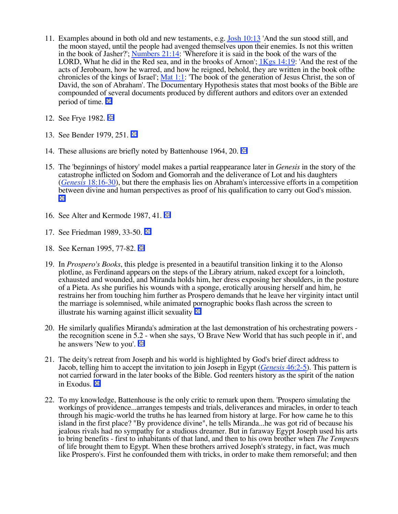- 11. Examples abound in both old and new testaments, e.g. Josh  $10:13$  'And the sun stood still, and the moon stayed, until the people had avenged themselves upon their enemies. Is not this written in the book of Jasher?'; Numbers 21:14: 'Wherefore it is said in the book of the wars of the LORD, What he did in the Red sea, and in the brooks of Arnon'; 1Kgs 14:19: 'And the rest of the acts of Jeroboam, how he warred, and how he reigned, behold, they are written in the book ofthe chronicles of the kings of Israel'; <u>Mat 1:1</u>: 'The book of the generation of Jesus Christ, the son of David, the son of Abraham'. The Documentary Hypothesis states that most books of the Bible are compounded of several documents produced by different authors and editors over an extended period of time.  $\blacksquare$
- 12. See Frye 1982.
- 13. See Bender 1979, 251.
- 14. These allusions are briefly noted by Battenhouse 1964, 20.  $\Box$
- 15. The 'beginnings of history' model makes a partial reappearance later in *Genesis* in the story of the catastrophe inflicted on Sodom and Gomorrah and the deliverance of Lot and his daughters (*Genesis* 18:16-30), but there the emphasis lies on Abraham's intercessive efforts in a competition between divine and human perspectives as proof of his qualification to carry out God's mission. H
- 16. See Alter and Kermode 1987, 41.
- 17. See Friedman 1989, 33-50.
- 18. See Kernan 1995, 77-82.
- 19. In *Prospero's Books*, this pledge is presented in a beautiful transition linking it to the Alonso plotline, as Ferdinand appears on the steps of the Library atrium, naked except for a loincloth, exhausted and wounded, and Miranda holds him, her dress exposing her shoulders, in the posture of a Pieta. As she purifies his wounds with a sponge, erotically arousing herself and him, he restrains her from touching him further as Prospero demands that he leave her virginity intact until the marriage is solemnised, while animated pornographic books flash across the screen to illustrate his warning against illicit sexuality  $\blacksquare$
- 20. He similarly qualifies Miranda's admiration at the last demonstration of his orchestrating powers the recognition scene in 5.2 - when she says, 'O Brave New World that has such people in it', and he answers 'New to you'.  $\epsilon$
- 21. The deity's retreat from Joseph and his world is highlighted by God's brief direct address to Jacob, telling him to accept the invitation to join Joseph in Egypt (*Genesis* 46:2-5). This pattern is not carried forward in the later books of the Bible. God reenters history as the spirit of the nation in Exodus.  $\blacksquare$
- 22. To my knowledge, Battenhouse is the only critic to remark upon them. 'Prospero simulating the workings of providence...arranges tempests and trials, deliverances and miracles, in order to teach through his magic-world the truths he has learned from history at large. For how came he to this island in the first place? "By providence divine", he tells Miranda...he was got rid of because his jealous rivals had no sympathy for a studious dreamer. But in faraway Egypt Joseph used his arts to bring benefits - first to inhabitants of that land, and then to his own brother when *The Tempest*s of life brought them to Egypt. When these brothers arrived Joseph's strategy, in fact, was much like Prospero's. First he confounded them with tricks, in order to make them remorseful; and then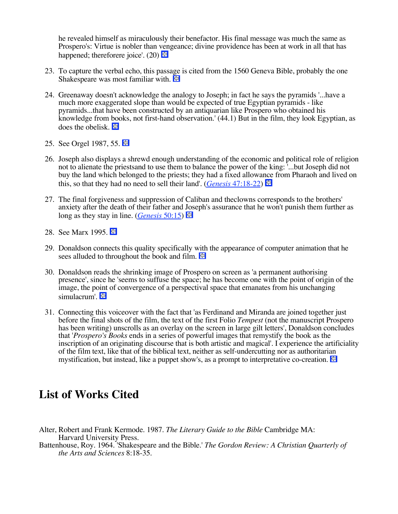he revealed himself as miraculously their benefactor. His final message was much the same as Prospero's: Virtue is nobler than vengeance; divine providence has been at work in all that has happened; thereforere joice'.  $(20)$ 

- 23. To capture the verbal echo, this passage is cited from the 1560 Geneva Bible, probably the one Shakespeare was most familiar with.  $\Box$
- 24. Greenaway doesn't acknowledge the analogy to Joseph; in fact he says the pyramids '...have a much more exaggerated slope than would be expected of true Egyptian pyramids - like pyramids...that have been constructed by an antiquarian like Prospero who obtained his knowledge from books, not first-hand observation.' (44.1) But in the film, they look Egyptian, as does the obelisk.  $\Box$
- 25. See Orgel 1987, 55.
- 26. Joseph also displays a shrewd enough understanding of the economic and political role of religion not to alienate the priestsand to use them to balance the power of the king: '...but Joseph did not buy the land which belonged to the priests; they had a fixed allowance from Pharaoh and lived on this, so that they had no need to sell their land'. (*Genesis* 47:18-22)
- 27. The final forgiveness and suppression of Caliban and theclowns corresponds to the brothers' anxiety after the death of their father and Joseph's assurance that he won't punish them further as long as they stay in line. (*Genesis* 50:15)
- 28. See Marx 1995.
- 29. Donaldson connects this quality specifically with the appearance of computer animation that he sees alluded to throughout the book and film.  $\Box$
- 30. Donaldson reads the shrinking image of Prospero on screen as 'a permanent authorising presence', since he 'seems to suffuse the space; he has become one with the point of origin of the image, the point of convergence of a perspectival space that emanates from his unchanging simulacrum'.
- 31. Connecting this voiceover with the fact that 'as Ferdinand and Miranda are joined together just before the final shots of the film, the text of the first Folio *Tempest* (not the manuscript Prospero has been writing) unscrolls as an overlay on the screen in large gilt letters', Donaldson concludes that '*Prospero's Books* ends in a series of powerful images that remystify the book as the inscription of an originating discourse that is both artistic and magical'. I experience the artificiality of the film text, like that of the biblical text, neither as self-undercutting nor as authoritarian mystification, but instead, like a puppet show's, as a prompt to interpretative co-creation.

## **List of Works Cited**

- Alter, Robert and Frank Kermode. 1987. *The Literary Guide to the Bible* Cambridge MA: Harvard University Press.
- Battenhouse, Roy. 1964. 'Shakespeare and the Bible.' *The Gordon Review: A Christian Quarterly of the Arts and Sciences* 8:18-35.